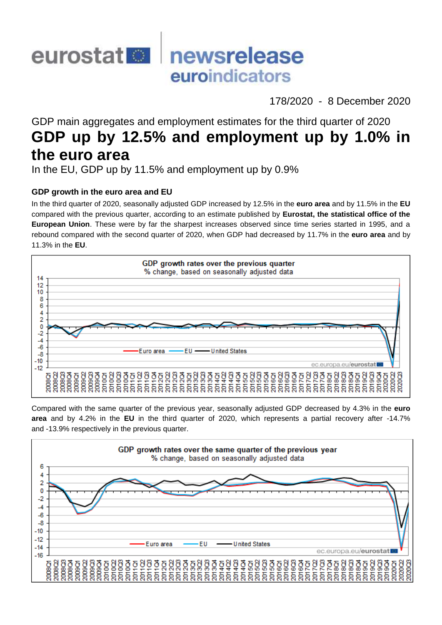

178/2020 - 8 December 2020

# GDP main aggregates and employment estimates for the third quarter of 2020 **GDP up by 12.5% and employment up by 1.0% in the euro area**

In the EU, GDP up by 11.5% and employment up by 0.9%

# **GDP growth in the euro area and EU**

In the third quarter of 2020, seasonally adjusted GDP increased by 12.5% in the **euro area** and by 11.5% in the **EU** compared with the previous quarter, according to an estimate published by **Eurostat, the statistical office of the European Union**. These were by far the sharpest increases observed since time series started in 1995, and a rebound compared with the second quarter of 2020, when GDP had decreased by 11.7% in the **euro area** and by 11.3% in the **EU**.



Compared with the same quarter of the previous year, seasonally adjusted GDP decreased by 4.3% in the **euro area** and by 4.2% in the **EU** in the third quarter of 2020, which represents a partial recovery after -14.7% and -13.9% respectively in the previous quarter.

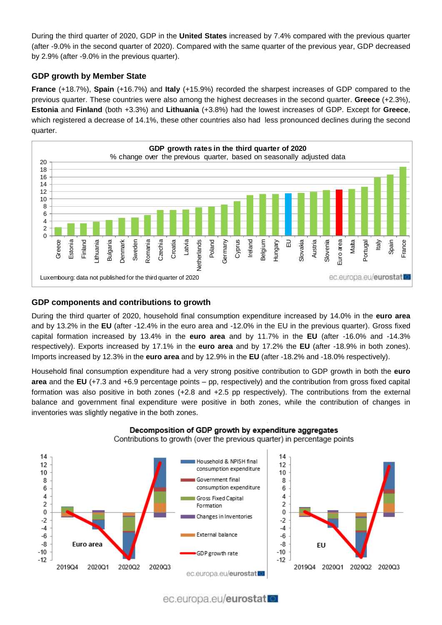During the third quarter of 2020, GDP in the **United States** increased by 7.4% compared with the previous quarter (after -9.0% in the second quarter of 2020). Compared with the same quarter of the previous year, GDP decreased by 2.9% (after -9.0% in the previous quarter).

# **GDP growth by Member State**

**France** (+18.7%), **Spain** (+16.7%) and **Italy** (+15.9%) recorded the sharpest increases of GDP compared to the previous quarter. These countries were also among the highest decreases in the second quarter. **Greece** (+2.3%), **Estonia** and **Finland** (both +3.3%) and **Lithuania** (+3.8%) had the lowest increases of GDP. Except for **Greece**, which registered a decrease of 14.1%, these other countries also had less pronounced declines during the second quarter.



# **GDP components and contributions to growth**

During the third quarter of 2020, household final consumption expenditure increased by 14.0% in the **euro area** and by 13.2% in the **EU** (after -12.4% in the euro area and -12.0% in the EU in the previous quarter). Gross fixed capital formation increased by 13.4% in the **euro area** and by 11.7% in the **EU** (after -16.0% and -14.3% respectively). Exports increased by 17.1% in the **euro area** and by 17.2% the **EU** (after -18.9% in both zones). Imports increased by 12.3% in the **euro area** and by 12.9% in the **EU** (after -18.2% and -18.0% respectively).

Household final consumption expenditure had a very strong positive contribution to GDP growth in both the **euro area** and the **EU** (+7.3 and +6.9 percentage points – pp, respectively) and the contribution from gross fixed capital formation was also positive in both zones (+2.8 and +2.5 pp respectively). The contributions from the external balance and government final expenditure were positive in both zones, while the contribution of changes in inventories was slightly negative in the both zones.



Decomposition of GDP growth by expenditure aggregates Contributions to growth (over the previous quarter) in percentage points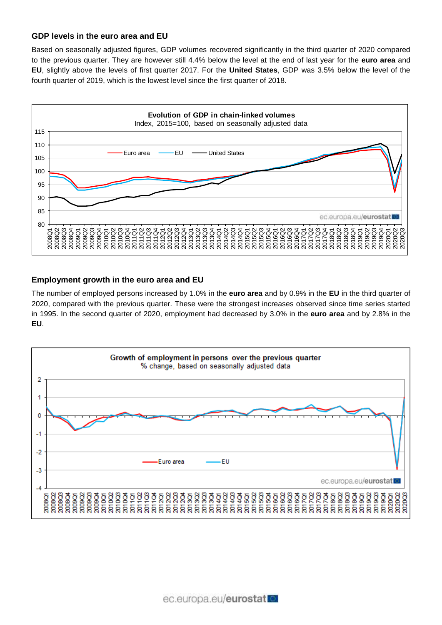### **GDP levels in the euro area and EU**

Based on seasonally adjusted figures, GDP volumes recovered significantly in the third quarter of 2020 compared to the previous quarter. They are however still 4.4% below the level at the end of last year for the **euro area** and **EU**, slightly above the levels of first quarter 2017. For the **United States**, GDP was 3.5% below the level of the fourth quarter of 2019, which is the lowest level since the first quarter of 2018.



### **Employment growth in the euro area and EU**

The number of employed persons increased by 1.0% in the **euro area** and by 0.9% in the **EU** in the third quarter of 2020, compared with the previous quarter. These were the strongest increases observed since time series started in 1995. In the second quarter of 2020, employment had decreased by 3.0% in the **euro area** and by 2.8% in the **EU**.

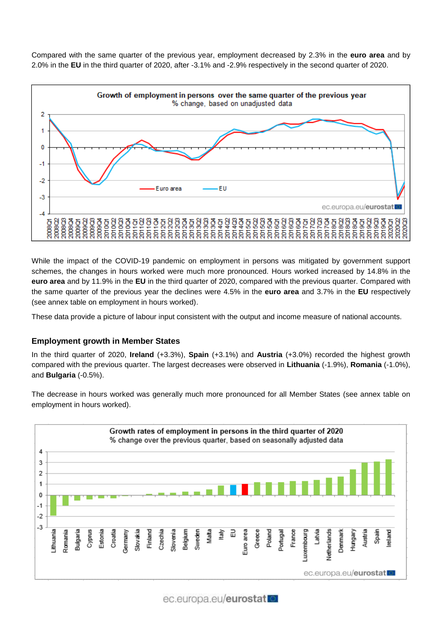Compared with the same quarter of the previous year, employment decreased by 2.3% in the **euro area** and by 2.0% in the **EU** in the third quarter of 2020, after -3.1% and -2.9% respectively in the second quarter of 2020.



While the impact of the COVID-19 pandemic on employment in persons was mitigated by government support schemes, the changes in hours worked were much more pronounced. Hours worked increased by 14.8% in the **euro area** and by 11.9% in the **EU** in the third quarter of 2020, compared with the previous quarter. Compared with the same quarter of the previous year the declines were 4.5% in the **euro area** and 3.7% in the **EU** respectively (see annex table on employment in hours worked).

These data provide a picture of labour input consistent with the output and income measure of national accounts.

# **Employment growth in Member States**

In the third quarter of 2020, **Ireland** (+3.3%), **Spain** (+3.1%) and **Austria** (+3.0%) recorded the highest growth compared with the previous quarter. The largest decreases were observed in **Lithuania** (-1.9%), **Romania** (-1.0%), and **Bulgaria** (-0.5%).

The decrease in hours worked was generally much more pronounced for all Member States (see annex table on employment in hours worked).

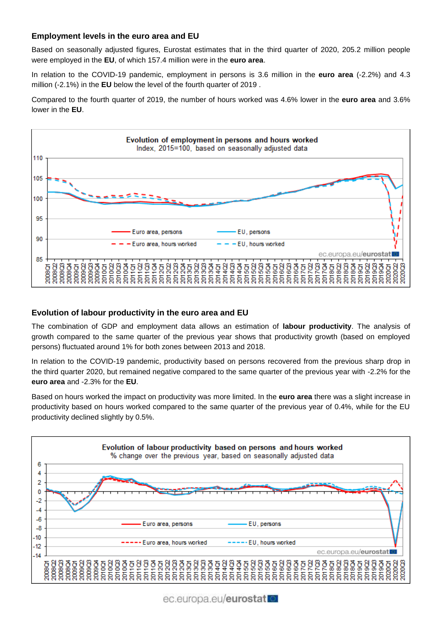### **Employment levels in the euro area and EU**

Based on seasonally adjusted figures, Eurostat estimates that in the third quarter of 2020, 205.2 million people were employed in the **EU**, of which 157.4 million were in the **euro area**.

In relation to the COVID-19 pandemic, employment in persons is 3.6 million in the **euro area** (-2.2%) and 4.3 million (-2.1%) in the **EU** below the level of the fourth quarter of 2019 .

Compared to the fourth quarter of 2019, the number of hours worked was 4.6% lower in the **euro area** and 3.6% lower in the **EU**.



### **Evolution of labour productivity in the euro area and EU**

The combination of GDP and employment data allows an estimation of **labour productivity**. The analysis of growth compared to the same quarter of the previous year shows that productivity growth (based on employed persons) fluctuated around 1% for both zones between 2013 and 2018.

In relation to the COVID-19 pandemic, productivity based on persons recovered from the previous sharp drop in the third quarter 2020, but remained negative compared to the same quarter of the previous year with -2.2% for the **euro area** and -2.3% for the **EU**.

Based on hours worked the impact on productivity was more limited. In the **euro area** there was a slight increase in productivity based on hours worked compared to the same quarter of the previous year of 0.4%, while for the EU productivity declined slightly by 0.5%.



ec.europa.eu/eurostat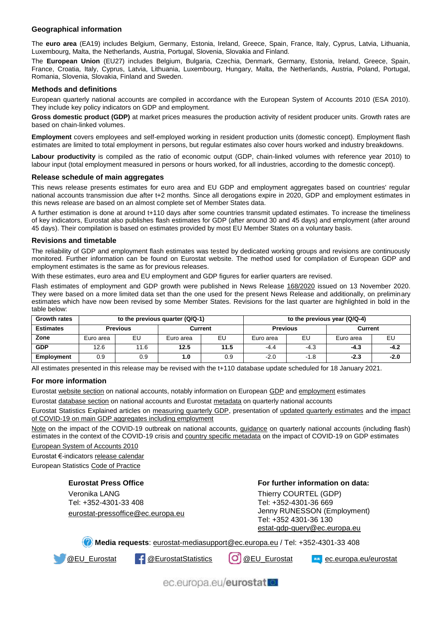#### **Geographical information**

The **euro area** (EA19) includes Belgium, Germany, Estonia, Ireland, Greece, Spain, France, Italy, Cyprus, Latvia, Lithuania, Luxembourg, Malta, the Netherlands, Austria, Portugal, Slovenia, Slovakia and Finland.

The **European Union** (EU27) includes Belgium, Bulgaria, Czechia, Denmark, Germany, Estonia, Ireland, Greece, Spain, France, Croatia, Italy, Cyprus, Latvia, Lithuania, Luxembourg, Hungary, Malta, the Netherlands, Austria, Poland, Portugal, Romania, Slovenia, Slovakia, Finland and Sweden.

#### **Methods and definitions**

European quarterly national accounts are compiled in accordance with the European System of Accounts 2010 (ESA 2010). They include key policy indicators on GDP and employment.

Gross domestic product (GDP) at market prices measures the production activity of resident producer units. Growth rates are based on chain-linked volumes.

**Employment** covers employees and self-employed working in resident production units (domestic concept). Employment flash estimates are limited to total employment in persons, but regular estimates also cover hours worked and industry breakdowns.

**Labour productivity** is compiled as the ratio of economic output (GDP, chain-linked volumes with reference year 2010) to labour input (total employment measured in persons or hours worked, for all industries, according to the domestic concept).

#### **Release schedule of main aggregates**

This news release presents estimates for euro area and EU GDP and employment aggregates based on countries' regular national accounts transmission due after t+2 months. Since all derogations expire in 2020, GDP and employment estimates in this news release are based on an almost complete set of Member States data.

A further estimation is done at around t+110 days after some countries transmit updated estimates. To increase the timeliness of key indicators, Eurostat also publishes flash estimates for GDP (after around 30 and 45 days) and employment (after around 45 days). Their compilation is based on estimates provided by most EU Member States on a voluntary basis.

#### **Revisions and timetable**

The reliability of GDP and employment flash estimates was tested by dedicated working groups and revisions are continuously monitored. Further information can be found on Eurostat website. The method used for compilation of European GDP and employment estimates is the same as for previous releases.

With these estimates, euro area and EU employment and GDP figures for earlier quarters are revised.

Flash estimates of employment and GDP growth were published in News Release [168/2020](https://ec.europa.eu/eurostat/documents/2995521/10662173/2-13112020-AP-EN.pdf) issued on 13 November 2020. They were based on a more limited data set than the one used for the present News Release and additionally, on preliminary estimates which have now been revised by some Member States. Revisions for the last quarter are highlighted in bold in the table below:

| <b>Growth rates</b> |           |                 | to the previous quarter $(Q/Q-1)$ | to the previous year (Q/Q-4) |                 |        |           |        |  |  |  |  |
|---------------------|-----------|-----------------|-----------------------------------|------------------------------|-----------------|--------|-----------|--------|--|--|--|--|
| <b>Estimates</b>    |           | <b>Previous</b> |                                   | Current                      | <b>Previous</b> |        | Current   |        |  |  |  |  |
| Zone                | Euro area | EU              | Euro area                         | EU                           | Euro area       | EU     | Euro area | EU     |  |  |  |  |
| <b>GDP</b>          | 12.6      | 11.6            | 12.5                              | 11.5                         | $-4.4$          | $-4.3$ | $-4.3$    | $-4.2$ |  |  |  |  |
| <b>Employment</b>   | 0.9       | 0.9             | 1.0                               | 0.9                          | $-2.0$          | $-1.8$ | $-2.3$    | $-2.0$ |  |  |  |  |

All estimates presented in this release may be revised with the t+110 database update scheduled for 18 January 2021.

#### **For more information**

Eurosta[t website section](https://ec.europa.eu/eurostat/web/national-accounts/overview) on national accounts, notably information on Europea[n GDP](https://ec.europa.eu/eurostat/web/national-accounts/methodology/european-accounts/estimation-european-main-aggregates) and [employment](https://ec.europa.eu/eurostat/web/national-accounts/methodology/european-accounts/employment) estimates

Eurosta[t database section](https://ec.europa.eu/eurostat/web/national-accounts/data/database) on national accounts and Eurosta[t metadata](https://ec.europa.eu/eurostat/cache/metadata/en/namq_10_esms.htm) on quarterly national accounts

Eurostat Statistics Explained articles on [measuring quarterly GDP,](https://ec.europa.eu/eurostat/statistics-explained/index.php/Building_the_System_of_National_Accounts_-_measuring_quarterly_GDP) presentation of [updated quarterly estimates](https://ec.europa.eu/eurostat/statistics-explained/index.php?title=Quarterly_national_accounts_-_GDP_and_employment) and the [impact](https://ec.europa.eu/eurostat/statistics-explained/index.php?title=Impact_of_COVID-19_on_main_GDP_aggregates_including_employment)  [of COVID-19 on main GDP aggregates including employment](https://ec.europa.eu/eurostat/statistics-explained/index.php?title=Impact_of_COVID-19_on_main_GDP_aggregates_including_employment)

[Note](https://ec.europa.eu/eurostat/documents/737960/9861115/COVID19_national_accounts_QandA.pdf) on the impact of the COVID-19 outbreak on national accounts, [guidance](https://ec.europa.eu/eurostat/documents/10186/10693286/QNA_estimates_guidance.pdf) on quarterly national accounts (including flash) estimates in the context of the COVID-19 crisis and [country specific metadata](https://ec.europa.eu/eurostat/documents/24987/725066/Country+specific+metadata+associated+with+estimates+for+2020Q3) on the impact of COVID-19 on GDP estimates

[European System of Accounts 2010](https://ec.europa.eu/eurostat/web/esa-2010/overview)

Eurostat €-indicator[s release calendar](https://ec.europa.eu/eurostat/news/release-calendar) European Statistic[s Code of Practice](https://ec.europa.eu/eurostat/web/products-catalogues/-/KS-02-18-142)

#### **Eurostat Press Office**

Veronika LANG Tel: +352-4301-33 408 [eurostat-pressoffice@ec.europa.eu](mailto:eurostat-pressoffice@ec.europa.eu)

#### **For further information on data:**

Thierry COURTEL (GDP) Tel: +352-4301-36 669 Jenny RUNESSON (Employment) Tel: +352 4301-36 130 [estat-gdp-query@ec.europa.eu](mailto:estat-gdp-query@ec.europa.eu)

**Media requests**: [eurostat-mediasupport@ec.europa.eu](mailto:eurostat-mediasupport@ec.europa.eu) / Tel: +352-4301-33 408

[@EU\\_Eurostat](https://twitter.com/EU_Eurostat) [@EurostatStatistics](https://www.facebook.com/EurostatStatistics) [@EU\\_Eurostat](https://www.instagram.com/eu_eurostat/) [ec.europa.eu/eurostat](https://ec.europa.eu/eurostat)

ec.europa.eu/eurostat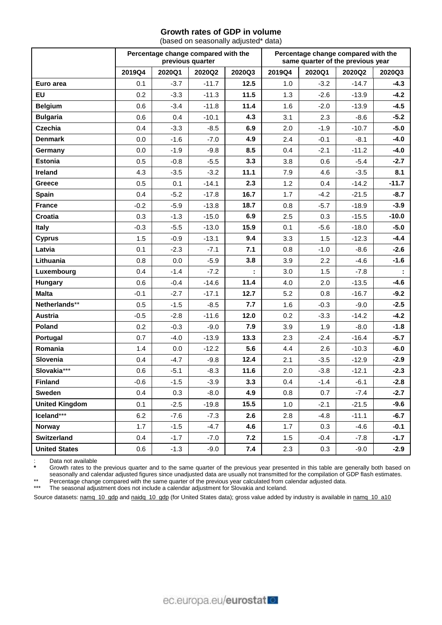# **Growth rates of GDP in volume**

(based on seasonally adjusted\* data)

|                       |        |        | Percentage change compared with the<br>previous quarter |        | Percentage change compared with the<br>same quarter of the previous year |                   |         |         |  |  |  |  |
|-----------------------|--------|--------|---------------------------------------------------------|--------|--------------------------------------------------------------------------|-------------------|---------|---------|--|--|--|--|
|                       | 2019Q4 | 2020Q1 | 2020Q2                                                  | 2020Q3 | 2019Q4                                                                   | 2020Q1            | 2020Q2  | 2020Q3  |  |  |  |  |
| Euro area             | 0.1    | $-3.7$ | $-11.7$                                                 | 12.5   | 1.0                                                                      | $-3.2$            | $-14.7$ | $-4.3$  |  |  |  |  |
| <b>EU</b>             | 0.2    | $-3.3$ | $-11.3$                                                 | 11.5   | 1.3                                                                      | $-2.6$            | $-13.9$ | $-4.2$  |  |  |  |  |
| <b>Belgium</b>        | 0.6    | $-3.4$ | $-11.8$                                                 | 11.4   | 1.6                                                                      | $-2.0$            | $-13.9$ | $-4.5$  |  |  |  |  |
| <b>Bulgaria</b>       | 0.6    | 0.4    | $-10.1$                                                 | 4.3    | 3.1                                                                      | 2.3               | -8.6    | $-5.2$  |  |  |  |  |
| <b>Czechia</b>        | 0.4    | $-3.3$ | $-8.5$                                                  | 6.9    | 2.0                                                                      | $-1.9$            | $-10.7$ | $-5.0$  |  |  |  |  |
| <b>Denmark</b>        | 0.0    | $-1.6$ | $-7.0$                                                  | 4.9    | 2.4                                                                      | $-0.1$            | $-8.1$  | $-4.0$  |  |  |  |  |
| Germany               | 0.0    | $-1.9$ | $-9.8$                                                  | 8.5    | 0.4                                                                      | $-2.1$            | $-11.2$ | $-4.0$  |  |  |  |  |
| <b>Estonia</b>        | 0.5    | $-0.8$ | $-5.5$                                                  | 3.3    | 3.8                                                                      | 0.6               | $-5.4$  | $-2.7$  |  |  |  |  |
| Ireland               | 4.3    | $-3.5$ | $-3.2$                                                  | 11.1   | 7.9                                                                      | 4.6               | $-3.5$  | 8.1     |  |  |  |  |
| <b>Greece</b>         | 0.5    | 0.1    | $-14.1$                                                 | 2.3    | 1.2                                                                      | 0.4               | $-14.2$ | $-11.7$ |  |  |  |  |
| <b>Spain</b>          | 0.4    | $-5.2$ | $-17.8$                                                 | 16.7   | 1.7                                                                      | $-4.2$            | $-21.5$ | $-8.7$  |  |  |  |  |
| <b>France</b>         | $-0.2$ | $-5.9$ | $-13.8$                                                 | 18.7   | 0.8                                                                      | $-5.7$            | $-18.9$ | $-3.9$  |  |  |  |  |
| Croatia               | 0.3    | $-1.3$ | $-15.0$                                                 | 6.9    | 2.5                                                                      | 0.3               | $-15.5$ | $-10.0$ |  |  |  |  |
| <b>Italy</b>          | $-0.3$ | $-5.5$ | $-13.0$                                                 | 15.9   | 0.1                                                                      | $-5.6$            | $-18.0$ | $-5.0$  |  |  |  |  |
| <b>Cyprus</b>         | 1.5    | $-0.9$ | $-13.1$                                                 | 9.4    | 3.3                                                                      | 1.5               | $-12.3$ | $-4.4$  |  |  |  |  |
| Latvia                | 0.1    | $-2.3$ | $-7.1$                                                  | 7.1    | 0.8                                                                      | $-1.0$            | $-8.6$  | $-2.6$  |  |  |  |  |
| Lithuania             | 0.8    | 0.0    | $-5.9$                                                  | 3.8    | 3.9                                                                      | 2.2               | -4.6    | $-1.6$  |  |  |  |  |
| Luxembourg            | 0.4    | $-1.4$ | $-7.2$                                                  |        | 3.0                                                                      | 1.5               | $-7.8$  |         |  |  |  |  |
| Hungary               | 0.6    | $-0.4$ | $-14.6$                                                 | 11.4   | 4.0                                                                      | 2.0               | $-13.5$ | $-4.6$  |  |  |  |  |
| <b>Malta</b>          | $-0.1$ | $-2.7$ | $-17.1$                                                 | 12.7   | 5.2                                                                      | 0.8               | $-16.7$ | $-9.2$  |  |  |  |  |
| Netherlands**         | 0.5    | $-1.5$ | $-8.5$                                                  | 7.7    | 1.6                                                                      | $-0.3$            | $-9.0$  | $-2.5$  |  |  |  |  |
| <b>Austria</b>        | $-0.5$ | $-2.8$ | $-11.6$                                                 | 12.0   | 0.2                                                                      | $-3.3$            | $-14.2$ | $-4.2$  |  |  |  |  |
| <b>Poland</b>         | 0.2    | $-0.3$ | $-9.0$                                                  | 7.9    | 3.9                                                                      | 1.9               | $-8.0$  | $-1.8$  |  |  |  |  |
| Portugal              | 0.7    | $-4.0$ | $-13.9$                                                 | 13.3   | 2.3                                                                      | $-2.4$            | $-16.4$ | $-5.7$  |  |  |  |  |
| Romania               | 1.4    | 0.0    | $-12.2$                                                 | 5.6    | 4.4                                                                      | 2.6               | $-10.3$ | $-6.0$  |  |  |  |  |
| Slovenia              | 0.4    | $-4.7$ | $-9.8$                                                  | 12.4   | 2.1                                                                      | $-3.5$            | $-12.9$ | $-2.9$  |  |  |  |  |
| Slovakia***           | 0.6    | $-5.1$ | $-8.3$                                                  | 11.6   | 2.0                                                                      | $-3.8$            | $-12.1$ | $-2.3$  |  |  |  |  |
| <b>Finland</b>        | $-0.6$ | $-1.5$ | $-3.9$                                                  | 3.3    | 0.4                                                                      | $-1.4$            | $-6.1$  | $-2.8$  |  |  |  |  |
| <b>Sweden</b>         | 0.4    | 0.3    | $-8.0$                                                  | 4.9    | 0.8                                                                      | 0.7               | $-7.4$  | $-2.7$  |  |  |  |  |
| <b>United Kingdom</b> | 0.1    | $-2.5$ | $-19.8$                                                 | 15.5   | 1.0                                                                      | $-2.1$            | $-21.5$ | $-9.6$  |  |  |  |  |
| Iceland***            | 6.2    | $-7.6$ | $-7.3$                                                  | 2.6    | 2.8                                                                      | $-4.8$<br>$-11.1$ |         | $-6.7$  |  |  |  |  |
| Norway                | 1.7    | $-1.5$ | $-4.7$                                                  | 4.6    | 1.7                                                                      | 0.3               | $-4.6$  | $-0.1$  |  |  |  |  |
| <b>Switzerland</b>    | 0.4    | $-1.7$ | $-7.0$                                                  | 7.2    | 1.5                                                                      | $-0.4$            | $-7.8$  | $-1.7$  |  |  |  |  |
| <b>United States</b>  | 0.6    | $-1.3$ | $-9.0$                                                  | 7.4    | 2.3                                                                      | 0.3               | $-9.0$  | $-2.9$  |  |  |  |  |

: Data not available<br>\* Crowth rates to the

**\*** Growth rates to the previous quarter and to the same quarter of the previous year presented in this table are generally both based on seasonally and calendar adjusted figures since unadjusted data are usually not transmitted for the compilation of GDP flash estimates.

\*\* Percentage change compared with the same quarter of the previous year calculated from calendar adjusted data.

\*\*\* The seasonal adjustment does not include a calendar adjustment for Slovakia and Iceland.

Source datasets[: namq\\_10\\_gdp](https://appsso.eurostat.ec.europa.eu/nui/show.do?query=BOOKMARK_DS-406779_QID_242163FD_UID_-3F171EB0&layout=TIME,C,X,0;GEO,L,Y,0;UNIT,L,Z,0;S_ADJ,L,Z,1;NA_ITEM,L,Z,2;INDICATORS,C,Z,3;&zSelection=DS-406779INDICATORS,OBS_FLAG;DS-406779UNIT,CLV_PCH_PRE;DS-406779S_ADJ,SCA;DS-406779NA_ITEM,B1GQ;&rankName1=UNIT_1_2_-1_2&rankName2=INDICATORS_1_2_-1_2&rankName3=NA-ITEM_1_2_-1_2&rankName4=S-ADJ_1_2_-1_2&rankName5=TIME_1_0_0_0&rankName6=GEO_1_2_0_1&sortC=ASC_-1_FIRST&rStp=&cStp=&rDCh=&cDCh=&rDM=true&cDM=true&footnes=false&empty=false&wai=false&time_mode=ROLLING&time_most_recent=true&lang=EN&cfo=%23%23%23%2C%23%23%23.%23%23%23) and [naidq\\_10\\_gdp](https://appsso.eurostat.ec.europa.eu/nui/show.do?query=BOOKMARK_DS-535295_QID_2334A7C3_UID_-3F171EB0&layout=TIME,C,X,0;GEO,L,Y,0;S_ADJ,L,Z,0;UNIT,L,Z,1;NA_ITEM,L,Z,2;INDICATORS,C,Z,3;&zSelection=DS-535295INDICATORS,OBS_FLAG;DS-535295NA_ITEM,B1GQ;DS-535295UNIT,CP_MNAC;DS-535295S_ADJ,SCA;&rankName1=UNIT_1_2_-1_2&rankName2=INDICATORS_1_2_-1_2&rankName3=NA-ITEM_1_2_-1_2&rankName4=S-ADJ_1_2_-1_2&rankName5=TIME_1_0_0_0&rankName6=GEO_1_2_0_1&sortC=ASC_-1_FIRST&rStp=&cStp=&rDCh=&cDCh=&rDM=true&cDM=true&footnes=false&empty=false&wai=false&time_mode=ROLLING&time_most_recent=true&lang=EN&cfo=%23%23%23%2C%23%23%23.%23%23%23) (for United States data); gross value added by industry is available i[n namq\\_10\\_a10](https://appsso.eurostat.ec.europa.eu/nui/show.do?query=BOOKMARK_DS-406783_QID_-732E8AC_UID_-3F171EB0&layout=TIME,C,X,0;GEO,L,Y,0;UNIT,L,Z,0;S_ADJ,L,Z,1;NACE_R2,L,Z,2;NA_ITEM,L,Z,3;INDICATORS,C,Z,4;&zSelection=DS-406783INDICATORS,OBS_FLAG;DS-406783NA_ITEM,B1G;DS-406783S_ADJ,NSA;DS-406783UNIT,CP_MEUR;DS-406783NACE_R2,TOTAL;&rankName1=TIME_1_0_0_0&rankName2=UNIT_1_2_-1_2&rankName3=GEO_1_2_0_1&rankName4=INDICATORS_1_2_-1_2&rankName5=NA-ITEM_1_2_-1_2&rankName6=NACE-R2_1_2_-1_2&rankName7=S-ADJ_1_2_-1_2&sortC=ASC_-1_FIRST&rStp=&cStp=&rDCh=&cDCh=&rDM=true&cDM=true&footnes=false&empty=false&wai=false&time_mode=ROLLING&time_most_recent=true&lang=EN&cfo=%23%23%23%2C%23%23%23.%23%23%23)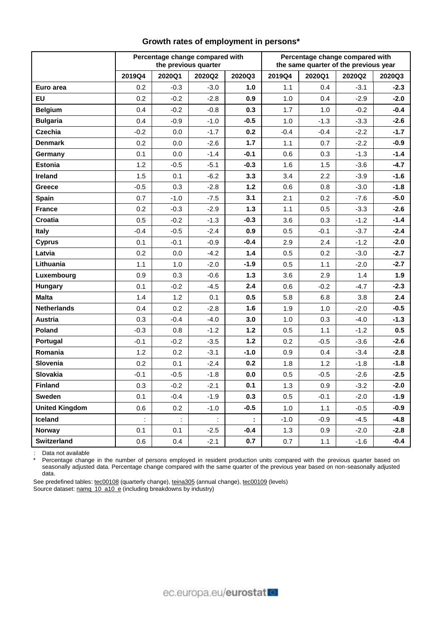|                       |        |        | Percentage change compared with<br>the previous quarter |        | Percentage change compared with<br>the same quarter of the previous year |        |        |        |  |  |  |  |
|-----------------------|--------|--------|---------------------------------------------------------|--------|--------------------------------------------------------------------------|--------|--------|--------|--|--|--|--|
|                       | 2019Q4 | 2020Q1 | 2020Q2                                                  | 2020Q3 | 2019Q4                                                                   | 2020Q1 | 2020Q2 | 2020Q3 |  |  |  |  |
| Euro area             | 0.2    | $-0.3$ | $-3.0$                                                  | 1.0    | 1.1                                                                      | 0.4    | $-3.1$ | $-2.3$ |  |  |  |  |
| <b>EU</b>             | 0.2    | $-0.2$ | $-2.8$                                                  | 0.9    | 1.0                                                                      | 0.4    | $-2.9$ | $-2.0$ |  |  |  |  |
| <b>Belgium</b>        | 0.4    | $-0.2$ | $-0.8$                                                  | 0.3    | 1.7                                                                      | 1.0    | $-0.2$ | $-0.4$ |  |  |  |  |
| <b>Bulgaria</b>       | 0.4    | $-0.9$ | $-1.0$                                                  | $-0.5$ | 1.0                                                                      | $-1.3$ | $-3.3$ | $-2.6$ |  |  |  |  |
| <b>Czechia</b>        | $-0.2$ | 0.0    | $-1.7$                                                  | 0.2    | $-0.4$                                                                   | $-0.4$ | $-2.2$ | $-1.7$ |  |  |  |  |
| <b>Denmark</b>        | 0.2    | 0.0    | $-2.6$                                                  | $1.7$  | 1.1                                                                      | 0.7    | $-2.2$ | $-0.9$ |  |  |  |  |
| Germany               | 0.1    | 0.0    | $-1.4$                                                  | $-0.1$ | 0.6                                                                      | 0.3    | $-1.3$ | $-1.4$ |  |  |  |  |
| <b>Estonia</b>        | 1.2    | $-0.5$ | $-5.1$                                                  | $-0.3$ | 1.6                                                                      | 1.5    | $-3.6$ | $-4.7$ |  |  |  |  |
| <b>Ireland</b>        | 1.5    | 0.1    | $-6.2$                                                  | 3.3    | 3.4                                                                      | 2.2    | $-3.9$ | $-1.6$ |  |  |  |  |
| <b>Greece</b>         | $-0.5$ | 0.3    | $-2.8$                                                  | $1.2$  | 0.6                                                                      | 0.8    | $-3.0$ | $-1.8$ |  |  |  |  |
| Spain                 | 0.7    | $-1.0$ | $-7.5$                                                  | 3.1    | 2.1                                                                      | 0.2    | $-7.6$ | $-5.0$ |  |  |  |  |
| <b>France</b>         | 0.2    | $-0.3$ | $-2.9$                                                  | $1.3$  | 1.1                                                                      | 0.5    | $-3.3$ | $-2.6$ |  |  |  |  |
| Croatia               | 0.5    | $-0.2$ | $-1.3$                                                  | $-0.3$ | 3.6                                                                      | 0.3    | $-1.2$ | $-1.4$ |  |  |  |  |
| <b>Italy</b>          | $-0.4$ | $-0.5$ | $-2.4$                                                  | 0.9    | 0.5                                                                      | $-0.1$ | $-3.7$ | $-2.4$ |  |  |  |  |
| <b>Cyprus</b>         | 0.1    | $-0.1$ | $-0.9$                                                  | $-0.4$ | 2.9                                                                      | 2.4    | $-1.2$ | $-2.0$ |  |  |  |  |
| Latvia                | 0.2    | 0.0    | $-4.2$                                                  | 1.4    | 0.5                                                                      | 0.2    | $-3.0$ | $-2.7$ |  |  |  |  |
| Lithuania             | 1.1    | 1.0    | $-2.0$                                                  | $-1.9$ | 0.5                                                                      | 1.1    | $-2.0$ | $-2.7$ |  |  |  |  |
| Luxembourg            | 0.9    | 0.3    | $-0.6$                                                  | 1.3    | 3.6                                                                      | 2.9    | 1.4    | 1.9    |  |  |  |  |
| Hungary               | 0.1    | $-0.2$ | $-4.5$                                                  | 2.4    | 0.6                                                                      | $-0.2$ | $-4.7$ | $-2.3$ |  |  |  |  |
| <b>Malta</b>          | 1.4    | 1.2    | 0.1                                                     | 0.5    | 5.8                                                                      | 6.8    | 3.8    | 2.4    |  |  |  |  |
| <b>Netherlands</b>    | 0.4    | 0.2    | $-2.8$                                                  | 1.6    | 1.9                                                                      | 1.0    | $-2.0$ | $-0.5$ |  |  |  |  |
| Austria               | 0.3    | $-0.4$ | $-4.0$                                                  | 3.0    | 1.0                                                                      | 0.3    | $-4.0$ | $-1.3$ |  |  |  |  |
| Poland                | $-0.3$ | 0.8    | $-1.2$                                                  | $1.2$  | 0.5                                                                      | 1.1    | $-1.2$ | 0.5    |  |  |  |  |
| Portugal              | $-0.1$ | $-0.2$ | $-3.5$                                                  | $1.2$  | 0.2                                                                      | $-0.5$ | $-3.6$ | $-2.6$ |  |  |  |  |
| Romania               | 1.2    | 0.2    | $-3.1$                                                  | $-1.0$ | 0.9                                                                      | 0.4    | $-3.4$ | $-2.8$ |  |  |  |  |
| Slovenia              | 0.2    | 0.1    | $-2.4$                                                  | 0.2    | 1.8                                                                      | 1.2    | $-1.8$ | $-1.8$ |  |  |  |  |
| Slovakia              | $-0.1$ | $-0.5$ | $-1.8$                                                  | 0.0    | 0.5                                                                      | $-0.5$ | $-2.6$ | $-2.5$ |  |  |  |  |
| <b>Finland</b>        | 0.3    | $-0.2$ | $-2.1$                                                  | 0.1    | $1.3$                                                                    | 0.9    | $-3.2$ | $-2.0$ |  |  |  |  |
| <b>Sweden</b>         | 0.1    | $-0.4$ | $-1.9$                                                  | 0.3    | 0.5                                                                      | $-0.1$ | $-2.0$ | $-1.9$ |  |  |  |  |
| <b>United Kingdom</b> | 0.6    | 0.2    | $-1.0$                                                  | $-0.5$ | 1.0                                                                      | 1.1    | $-0.5$ | $-0.9$ |  |  |  |  |
| Iceland               | ÷      | ÷      | $\mathbb{C}$                                            | ÷.     | $-1.0$                                                                   | $-0.9$ | $-4.5$ | $-4.8$ |  |  |  |  |
| <b>Norway</b>         | 0.1    | 0.1    | $-2.5$                                                  | $-0.4$ | 1.3                                                                      | 0.9    | $-2.0$ | $-2.8$ |  |  |  |  |
| Switzerland           | 0.6    | 0.4    | $-2.1$                                                  | 0.7    | 0.7                                                                      | 1.1    | $-1.6$ | $-0.4$ |  |  |  |  |

# **Growth rates of employment in persons\***

: Data not available

\* Percentage change in the number of persons employed in resident production units compared with the previous quarter based on seasonally adjusted data. Percentage change compared with the same quarter of the previous year based on non-seasonally adjusted data.

See predefined tables[: tec00108](https://ec.europa.eu/eurostat/tgm/table.do?tab=table&init=1&language=en&pcode=tec00108&plugin=1) (quarterly change)[, teina305](https://ec.europa.eu/eurostat/tgm/table.do?tab=table&init=1&plugin=1&pcode=teina305&language=en) (annual change)[, tec00109](https://ec.europa.eu/eurostat/tgm/table.do?tab=table&init=1&plugin=1&pcode=tec00109&language=en) (levels) Source dataset: [namq\\_10\\_a10\\_e](https://appsso.eurostat.ec.europa.eu/nui/show.do?query=BOOKMARK_DS-406777_QID_-417FF3FA_UID_-3F171EB0&layout=TIME,C,X,0;GEO,L,Y,0;UNIT,L,Z,0;NACE_R2,L,Z,1;S_ADJ,L,Z,2;NA_ITEM,L,Z,3;INDICATORS,C,Z,4;&zSelection=DS-406777NACE_R2,TOTAL;DS-406777S_ADJ,SCA;DS-406777UNIT,PCH_PRE_PER;DS-406777INDICATORS,OBS_FLAG;DS-406777NA_ITEM,EMP_DC;&rankName1=UNIT_1_2_-1_2&rankName2=INDICATORS_1_2_-1_2&rankName3=NA-ITEM_1_2_-1_2&rankName4=S-ADJ_1_2_-1_2&rankName5=NACE-R2_1_2_-1_2&rankName6=TIME_1_0_0_0&rankName7=GEO_1_2_0_1&sortC=ASC_-1_FIRST&rStp=&cStp=&rDCh=&cDCh=&rDM=true&cDM=true&footnes=false&empty=false&wai=false&time_mode=ROLLING&time_most_recent=true&lang=EN&cfo=%23%23%23%2C%23%23%23.%23%23%23) (including breakdowns by industry)

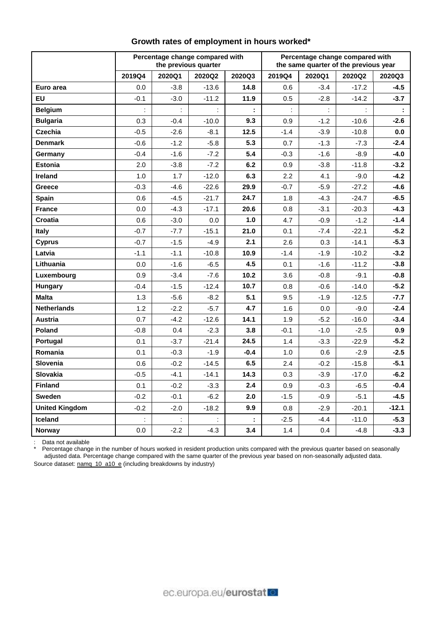|                       |        |        | Percentage change compared with<br>the previous quarter |        | Percentage change compared with<br>the same quarter of the previous year |        |         |         |  |  |  |
|-----------------------|--------|--------|---------------------------------------------------------|--------|--------------------------------------------------------------------------|--------|---------|---------|--|--|--|
|                       | 2019Q4 | 2020Q1 | 2020Q2                                                  | 2020Q3 | 2019Q4                                                                   | 2020Q1 | 2020Q2  | 2020Q3  |  |  |  |
| Euro area             | 0.0    | $-3.8$ | $-13.6$                                                 | 14.8   | 0.6                                                                      | $-3.4$ | $-17.2$ | $-4.5$  |  |  |  |
| <b>EU</b>             | $-0.1$ | $-3.0$ | $-11.2$                                                 | 11.9   | 0.5                                                                      | $-2.8$ | $-14.2$ | $-3.7$  |  |  |  |
| <b>Belgium</b>        |        |        |                                                         |        |                                                                          |        |         |         |  |  |  |
| <b>Bulgaria</b>       | 0.3    | $-0.4$ | $-10.0$                                                 | 9.3    | 0.9                                                                      | $-1.2$ | $-10.6$ | $-2.6$  |  |  |  |
| Czechia               | $-0.5$ | $-2.6$ | $-8.1$                                                  | 12.5   | $-1.4$                                                                   | $-3.9$ | $-10.8$ | 0.0     |  |  |  |
| <b>Denmark</b>        | $-0.6$ | $-1.2$ | $-5.8$                                                  | 5.3    | 0.7                                                                      | $-1.3$ | $-7.3$  | $-2.4$  |  |  |  |
| Germany               | $-0.4$ | $-1.6$ | $-7.2$                                                  | 5.4    | $-0.3$                                                                   | $-1.6$ | $-8.9$  | -4.0    |  |  |  |
| <b>Estonia</b>        | 2.0    | $-3.8$ | $-7.2$                                                  | 6.2    | 0.9                                                                      | $-3.8$ | $-11.8$ | $-3.2$  |  |  |  |
| Ireland               | 1.0    | 1.7    | $-12.0$                                                 | 6.3    | 2.2                                                                      | 4.1    | $-9.0$  | $-4.2$  |  |  |  |
| <b>Greece</b>         | $-0.3$ | -4.6   | $-22.6$                                                 | 29.9   | $-0.7$                                                                   | $-5.9$ | $-27.2$ | $-4.6$  |  |  |  |
| <b>Spain</b>          | 0.6    | $-4.5$ | $-21.7$                                                 | 24.7   | 1.8                                                                      | $-4.3$ | $-24.7$ | $-6.5$  |  |  |  |
| <b>France</b>         | 0.0    | -4.3   | $-17.1$                                                 | 20.6   | 0.8                                                                      | $-3.1$ | $-20.3$ | $-4.3$  |  |  |  |
| <b>Croatia</b>        | 0.6    | $-3.0$ | 0.0                                                     | 1.0    | 4.7                                                                      | $-0.9$ | $-1.2$  | $-1.4$  |  |  |  |
| <b>Italy</b>          | $-0.7$ | $-7.7$ | $-15.1$                                                 | 21.0   | 0.1                                                                      | $-7.4$ | $-22.1$ | $-5.2$  |  |  |  |
| <b>Cyprus</b>         | $-0.7$ | $-1.5$ | $-4.9$                                                  | 2.1    | 2.6                                                                      | 0.3    | $-14.1$ | $-5.3$  |  |  |  |
| Latvia                | $-1.1$ | $-1.1$ | $-10.8$                                                 | 10.9   | $-1.4$                                                                   | $-1.9$ | $-10.2$ | $-3.2$  |  |  |  |
| Lithuania             | 0.0    | $-1.6$ | $-6.5$                                                  | 4.5    | 0.1                                                                      | $-1.6$ | $-11.2$ | $-3.8$  |  |  |  |
| Luxembourg            | 0.9    | $-3.4$ | $-7.6$                                                  | 10.2   | 3.6                                                                      | $-0.8$ | $-9.1$  | $-0.8$  |  |  |  |
| <b>Hungary</b>        | $-0.4$ | $-1.5$ | $-12.4$                                                 | 10.7   | 0.8                                                                      | $-0.6$ | $-14.0$ | $-5.2$  |  |  |  |
| <b>Malta</b>          | 1.3    | $-5.6$ | $-8.2$                                                  | 5.1    | 9.5                                                                      | $-1.9$ | $-12.5$ | $-7.7$  |  |  |  |
| <b>Netherlands</b>    | 1.2    | $-2.2$ | $-5.7$                                                  | 4.7    | 1.6                                                                      | 0.0    | $-9.0$  | $-2.4$  |  |  |  |
| Austria               | 0.7    | $-4.2$ | $-12.6$                                                 | 14.1   | 1.9                                                                      | $-5.2$ | $-16.0$ | $-3.4$  |  |  |  |
| Poland                | $-0.8$ | 0.4    | $-2.3$                                                  | 3.8    | $-0.1$                                                                   | $-1.0$ | $-2.5$  | 0.9     |  |  |  |
| Portugal              | 0.1    | $-3.7$ | $-21.4$                                                 | 24.5   | $1.4$                                                                    | $-3.3$ | $-22.9$ | $-5.2$  |  |  |  |
| Romania               | 0.1    | $-0.3$ | $-1.9$                                                  | $-0.4$ | 1.0                                                                      | 0.6    | $-2.9$  | $-2.5$  |  |  |  |
| <b>Slovenia</b>       | 0.6    | $-0.2$ | $-14.5$                                                 | 6.5    | 2.4                                                                      | $-0.2$ | $-15.8$ | $-5.1$  |  |  |  |
| Slovakia              | $-0.5$ | $-4.1$ | $-14.1$                                                 | 14.3   | 0.3                                                                      | $-3.9$ | $-17.0$ | $-6.2$  |  |  |  |
| <b>Finland</b>        | 0.1    | $-0.2$ | $-3.3$                                                  | 2.4    | 0.9                                                                      | $-0.3$ | $-6.5$  | $-0.4$  |  |  |  |
| Sweden                | $-0.2$ | $-0.1$ | $-6.2$                                                  | 2.0    | $-1.5$                                                                   | -0.9   | $-5.1$  | $-4.5$  |  |  |  |
| <b>United Kingdom</b> | $-0.2$ | $-2.0$ | $-18.2$                                                 | 9.9    | 0.8                                                                      | $-2.9$ | $-20.1$ | $-12.1$ |  |  |  |
| Iceland               |        |        |                                                         |        | $-2.5$                                                                   | $-4.4$ | $-11.0$ | $-5.3$  |  |  |  |
| <b>Norway</b>         | 0.0    | $-2.2$ | $-4.3$                                                  | 3.4    | 1.4                                                                      | 0.4    | $-4.8$  | $-3.3$  |  |  |  |

# **Growth rates of employment in hours worked\***

: Data not available

Percentage change in the number of hours worked in resident production units compared with the previous quarter based on seasonally adjusted data. Percentage change compared with the same quarter of the previous year based on non-seasonally adjusted data.

Source dataset[: namq\\_10\\_a10\\_e](https://appsso.eurostat.ec.europa.eu/nui/show.do?query=BOOKMARK_DS-406777_QID_-7CB2EE05_UID_-3F171EB0&layout=TIME,C,X,0;GEO,L,Y,0;UNIT,L,Z,0;NACE_R2,L,Z,1;S_ADJ,L,Z,2;NA_ITEM,L,Z,3;INDICATORS,C,Z,4;&zSelection=DS-406777NA_ITEM,EMP_DC;DS-406777INDICATORS,OBS_FLAG;DS-406777NACE_R2,TOTAL;DS-406777S_ADJ,SCA;DS-406777UNIT,PCH_PRE_HW;&rankName1=UNIT_1_2_-1_2&rankName2=INDICATORS_1_2_-1_2&rankName3=NA-ITEM_1_2_-1_2&rankName4=S-ADJ_1_2_-1_2&rankName5=NACE-R2_1_2_-1_2&rankName6=TIME_1_0_0_0&rankName7=GEO_1_2_0_1&sortC=ASC_-1_FIRST&rStp=&cStp=&rDCh=&cDCh=&rDM=true&cDM=true&footnes=false&empty=false&wai=false&time_mode=ROLLING&time_most_recent=false&lang=EN&cfo=%23%23%23%2C%23%23%23.%23%23%23) (including breakdowns by industry)